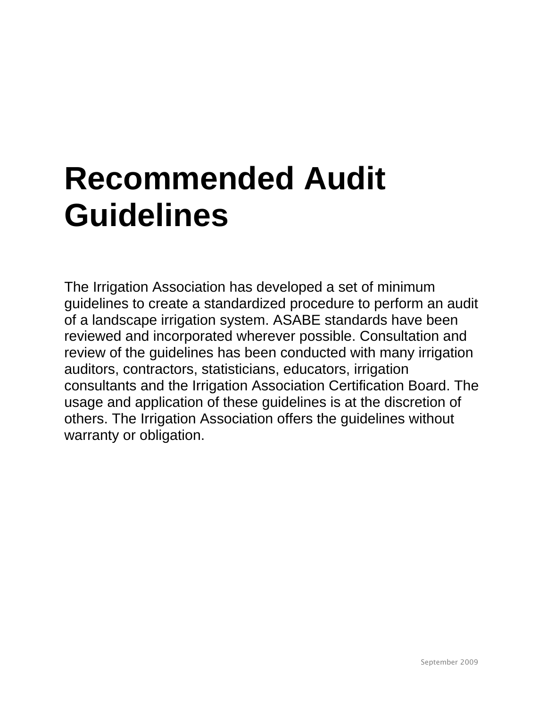# **Recommended Audit Guidelines**

The Irrigation Association has developed a set of minimum guidelines to create a standardized procedure to perform an audit of a landscape irrigation system. ASABE standards have been reviewed and incorporated wherever possible. Consultation and review of the guidelines has been conducted with many irrigation auditors, contractors, statisticians, educators, irrigation consultants and the Irrigation Association Certification Board. The usage and application of these guidelines is at the discretion of others. The Irrigation Association offers the guidelines without warranty or obligation.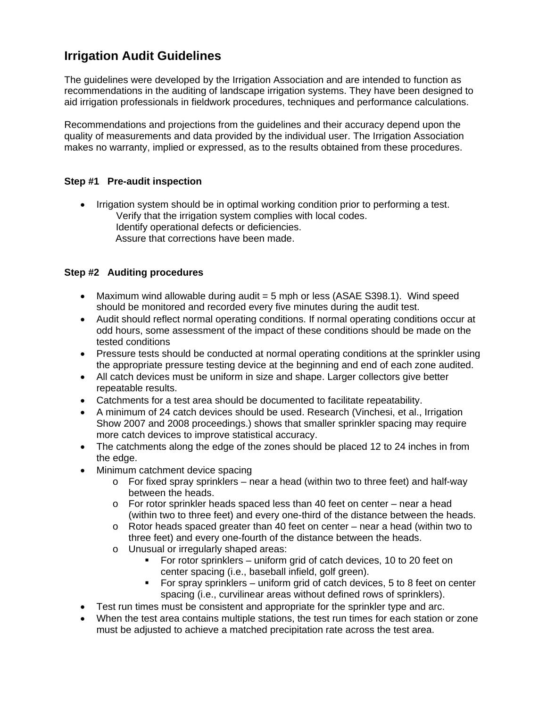## **Irrigation Audit Guidelines**

The guidelines were developed by the Irrigation Association and are intended to function as recommendations in the auditing of landscape irrigation systems. They have been designed to aid irrigation professionals in fieldwork procedures, techniques and performance calculations.

Recommendations and projections from the guidelines and their accuracy depend upon the quality of measurements and data provided by the individual user. The Irrigation Association makes no warranty, implied or expressed, as to the results obtained from these procedures.

### **Step #1 Pre-audit inspection**

• Irrigation system should be in optimal working condition prior to performing a test. Verify that the irrigation system complies with local codes. Identify operational defects or deficiencies. Assure that corrections have been made.

### **Step #2 Auditing procedures**

- Maximum wind allowable during audit  $=$  5 mph or less (ASAE S398.1). Wind speed should be monitored and recorded every five minutes during the audit test.
- Audit should reflect normal operating conditions. If normal operating conditions occur at odd hours, some assessment of the impact of these conditions should be made on the tested conditions
- Pressure tests should be conducted at normal operating conditions at the sprinkler using the appropriate pressure testing device at the beginning and end of each zone audited.
- All catch devices must be uniform in size and shape. Larger collectors give better repeatable results.
- Catchments for a test area should be documented to facilitate repeatability.
- A minimum of 24 catch devices should be used. Research (Vinchesi, et al., Irrigation Show 2007 and 2008 proceedings.) shows that smaller sprinkler spacing may require more catch devices to improve statistical accuracy.
- The catchments along the edge of the zones should be placed 12 to 24 inches in from the edge.
- Minimum catchment device spacing
	- $\circ$  For fixed spray sprinklers near a head (within two to three feet) and half-way between the heads.
	- $\circ$  For rotor sprinkler heads spaced less than 40 feet on center near a head (within two to three feet) and every one-third of the distance between the heads.
	- o Rotor heads spaced greater than 40 feet on center near a head (within two to three feet) and every one-fourth of the distance between the heads.
	- o Unusual or irregularly shaped areas:
		- For rotor sprinklers uniform grid of catch devices, 10 to 20 feet on center spacing (i.e., baseball infield, golf green).
		- For spray sprinklers uniform grid of catch devices, 5 to 8 feet on center spacing (i.e., curvilinear areas without defined rows of sprinklers).
- Test run times must be consistent and appropriate for the sprinkler type and arc.
- When the test area contains multiple stations, the test run times for each station or zone must be adjusted to achieve a matched precipitation rate across the test area.